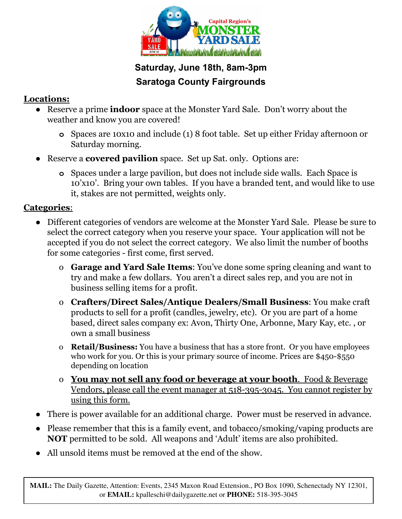

## **Saturday, June 18th, 8am-3pm Saratoga County Fairgrounds**

## **Locations:**

- **●** Reserve a prime **indoor** space at the Monster Yard Sale. Don't worry about the weather and know you are covered!
	- **o** Spaces are 10x10 and include (1) 8 foot table. Set up either Friday afternoon or Saturday morning.
- **●** Reserve a **covered pavilion** space. Set up Sat. only. Options are:
	- **o** Spaces under a large pavilion, but does not include side walls. Each Space is 10'x10'. Bring your own tables. If you have a branded tent, and would like to use it, stakes are not permitted, weights only.

#### **Categories**:

- Different categories of vendors are welcome at the Monster Yard Sale. Please be sure to select the correct category when you reserve your space. Your application will not be accepted if you do not select the correct category. We also limit the number of booths for some categories - first come, first served.
	- o **Garage and Yard Sale Items**: You've done some spring cleaning and want to try and make a few dollars. You aren't a direct sales rep, and you are not in business selling items for a profit.
	- o **Crafters/Direct Sales/Antique Dealers/Small Business**: You make craft products to sell for a profit (candles, jewelry, etc). Or you are part of a home based, direct sales company ex: Avon, Thirty One, Arbonne, Mary Kay, etc. , or own a small business
	- o **Retail/Business:** You have a business that has a store front. Or you have employees who work for you. Or this is your primary source of income. Prices are \$450-\$550 depending on location
	- o **You may not sell any food or beverage at your booth**. Food & Beverage Vendors, please call the event manager at 518-395-3045. You cannot register by using this form.
- There is power available for an additional charge. Power must be reserved in advance.
- Please remember that this is a family event, and tobacco/smoking/vaping products are **NOT** permitted to be sold. All weapons and 'Adult' items are also prohibited.
- All unsold items must be removed at the end of the show.

**MAIL:** The Daily Gazette, Attention: Events, 2345 Maxon Road Extension., PO Box 1090, Schenectady NY 12301, or **EMAIL:** kpalleschi@dailygazette.net or **PHONE:** 518-395-3045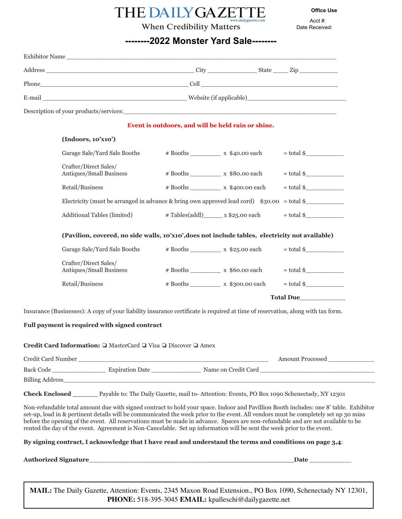# THE DAILY GAZETTE

**Office Use**

Acct #: Date Received:

#### **When Credibility Matters**

#### **--------2022 Monster Yard Sale--------**

| Description of your products/services: Universe of the services of the services of the services of the services of the services of the services of the services of the services of the services of the services of the service |                                                                                                 |                                                           |                         |  |  |
|--------------------------------------------------------------------------------------------------------------------------------------------------------------------------------------------------------------------------------|-------------------------------------------------------------------------------------------------|-----------------------------------------------------------|-------------------------|--|--|
|                                                                                                                                                                                                                                |                                                                                                 | Event is outdoors, and will be held rain or shine.        |                         |  |  |
| (Indoors, 10'xn0')                                                                                                                                                                                                             |                                                                                                 |                                                           |                         |  |  |
| Garage Sale/Yard Sale Booths                                                                                                                                                                                                   |                                                                                                 | $\# \text{ Books}$ x \$40.00 each                         | $=$ total $\frac{1}{2}$ |  |  |
| Crafter/Direct Sales/<br>Antiques/Small Business                                                                                                                                                                               |                                                                                                 |                                                           | $=$ total \$            |  |  |
| Retail/Business                                                                                                                                                                                                                |                                                                                                 |                                                           |                         |  |  |
| Electricity (must be arranged in advance & bring own approved lead cord) $$30.00 = total$                                                                                                                                      |                                                                                                 |                                                           |                         |  |  |
| Additional Tables (limited)                                                                                                                                                                                                    |                                                                                                 | $\# \text{Tables}(\text{addl})$ x \$25.00 each = total \$ |                         |  |  |
|                                                                                                                                                                                                                                | (Pavilion, covered, no side walls, 10'x10', does not include tables, electricity not available) |                                                           |                         |  |  |
| Garage Sale/Yard Sale Booths                                                                                                                                                                                                   |                                                                                                 | $\# \text{Books}$ x $\$25.00$ each = total \$             |                         |  |  |
| Crafter/Direct Sales/<br>Antiques/Small Business                                                                                                                                                                               |                                                                                                 | $\# \text{Books}$ x $\$60.00$ each = total \$             |                         |  |  |
| Retail/Business                                                                                                                                                                                                                |                                                                                                 |                                                           | $=$ total \$            |  |  |
|                                                                                                                                                                                                                                |                                                                                                 | <b>Total Due</b>                                          |                         |  |  |

**Credit Card Information:** ❏ MasterCard ❏ Visa ❏ Discover ❏ Amex

| Credit Card Number | <b>Amount Processed</b> |                     |  |
|--------------------|-------------------------|---------------------|--|
| Back Code          | <b>Expiration Date</b>  | Name on Credit Card |  |
| Billing Address    |                         |                     |  |

**Check Enclosed \_\_\_\_\_\_** Payable to: The Daily Gazette, mail to- Attention: Events, PO Box 1090 Schenectady, NY 12301

Non-refundable total amount due with signed contract to hold your space. Indoor and Pavillion Booth includes: one 8' table. Exhibitor set-up, load in & pertinent details will be communicated the week prior to the event. All vendors must be completely set up 30 mins before the opening of the event. All reservations must be made in advance. Spaces are non-refundable and are not available to be rented the day of the event. Agreement is Non-Cancelable. Set up information will be sent the week prior to the event.

**By signing contract, I acknowledge that I have read and understand the terms and conditions on page 3,4**:

**Authorized Signature**\_\_\_\_\_\_\_\_\_\_\_\_\_\_\_\_\_\_\_\_\_\_\_\_\_\_\_\_\_\_\_**\_\_\_\_\_\_\_\_\_\_\_\_\_\_\_\_\_\_\_\_\_Date** \_\_\_\_\_\_\_\_\_\_\_

**MAIL:** The Daily Gazette, Attention: Events, 2345 Maxon Road Extension., PO Box 1090, Schenectady NY 12301, **PHONE:** 518-395-3045 **EMAIL:** kpalleschi@dailygazette.net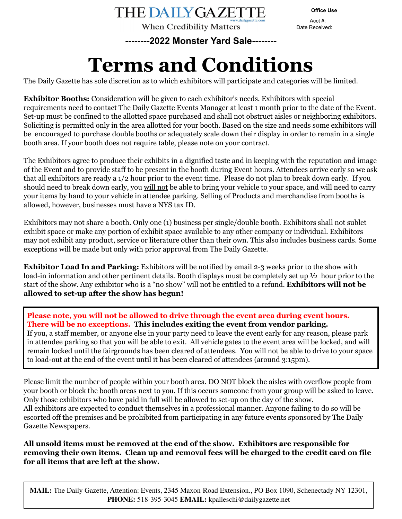**When Credibility Matters** 

**Office Use**

Acct #: Date Received:

**--------2022 Monster Yard Sale--------**

# **Terms and Conditions**

The Daily Gazette has sole discretion as to which exhibitors will participate and categories will be limited.

**Exhibitor Booths:** Consideration will be given to each exhibitor's needs. Exhibitors with special requirements need to contact The Daily Gazette Events Manager at least 1 month prior to the date of the Event. Set-up must be confined to the allotted space purchased and shall not obstruct aisles or neighboring exhibitors. Soliciting is permitted only in the area allotted for your booth. Based on the size and needs some exhibitors will be encouraged to purchase double booths or adequately scale down their display in order to remain in a single booth area. If your booth does not require table, please note on your contract.

The Exhibitors agree to produce their exhibits in a dignified taste and in keeping with the reputation and image of the Event and to provide staff to be present in the booth during Event hours. Attendees arrive early so we ask that all exhibitors are ready a 1/2 hour prior to the event time. Please do not plan to break down early. If you should need to break down early, you will not be able to bring your vehicle to your space, and will need to carry your items by hand to your vehicle in attendee parking. Selling of Products and merchandise from booths is allowed, however, businesses must have a NYS tax ID.

Exhibitors may not share a booth. Only one (1) business per single/double booth. Exhibitors shall not sublet exhibit space or make any portion of exhibit space available to any other company or individual. Exhibitors may not exhibit any product, service or literature other than their own. This also includes business cards. Some exceptions will be made but only with prior approval from The Daily Gazette.

**Exhibitor Load In and Parking:** Exhibitors will be notified by email 2-3 weeks prior to the show with load-in information and other pertinent details. Booth displays must be completely set up  $\frac{1}{2}$  hour prior to the start of the show. Any exhibitor who is a "no show" will not be entitled to a refund. **Exhibitors will not be allowed to set-up after the show has begun!**

**Please note, you will not be allowed to drive through the event area during event hours. There will be no exceptions. This includes exiting the event from vendor parking.** If you, a staff member, or anyone else in your party need to leave the event early for any reason, please park in attendee parking so that you will be able to exit. All vehicle gates to the event area will be locked, and will remain locked until the fairgrounds has been cleared of attendees. You will not be able to drive to your space to load-out at the end of the event until it has been cleared of attendees (around 3:15pm).

Please limit the number of people within your booth area. DO NOT block the aisles with overflow people from your booth or block the booth areas next to you. If this occurs someone from your group will be asked to leave. Only those exhibitors who have paid in full will be allowed to set-up on the day of the show. All exhibitors are expected to conduct themselves in a professional manner. Anyone failing to do so will be escorted off the premises and be prohibited from participating in any future events sponsored by The Daily Gazette Newspapers.

**All unsold items must be removed at the end of the show. Exhibitors are responsible for removing their own items. Clean up and removal fees will be charged to the credit card on file for all items that are left at the show.**

**MAIL:** The Daily Gazette, Attention: Events, 2345 Maxon Road Extension., PO Box 1090, Schenectady NY 12301, **PHONE:** 518-395-3045 **EMAIL:** kpalleschi@dailygazette.net

**THE DAILY GAZETTE**